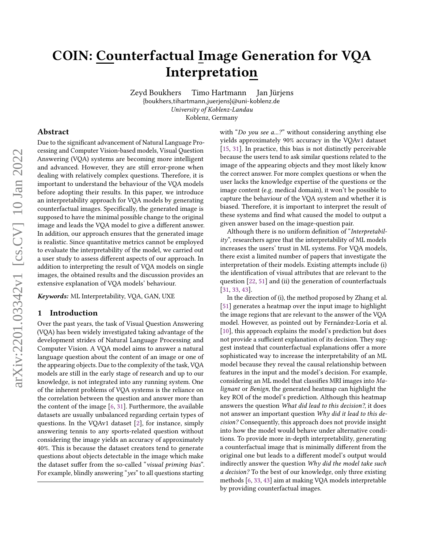# <span id="page-0-0"></span>COIN: Counterfactual Image Generation for VQA Interpretation

Zeyd Boukhers Timo Hartmann Jan Jürjens

{boukhers,tihartmann,juerjens}@uni-koblenz.de University of Koblenz-Landau

Koblenz, Germany

#### Abstract

Due to the significant advancement of Natural Language Processing and Computer Vision-based models, Visual Question Answering (VQA) systems are becoming more intelligent and advanced. However, they are still error-prone when dealing with relatively complex questions. Therefore, it is important to understand the behaviour of the VQA models before adopting their results. In this paper, we introduce an interpretability approach for VQA models by generating counterfactual images. Specifically, the generated image is supposed to have the minimal possible change to the original image and leads the VQA model to give a different answer. In addition, our approach ensures that the generated image is realistic. Since quantitative metrics cannot be employed to evaluate the interpretability of the model, we carried out a user study to assess different aspects of our approach. In addition to interpreting the result of VQA models on single images, the obtained results and the discussion provides an extensive explanation of VQA models' behaviour.

Keywords: ML Interpretability, VQA, GAN, UXE

# 1 Introduction

Over the past years, the task of Visual Question Answering (VQA) has been widely investigated taking advantage of the development strides of Natural Language Processing and Computer Vision. A VQA model aims to answer a natural language question about the content of an image or one of the appearing objects. Due to the complexity of the task, VQA models are still in the early stage of research and up to our knowledge, is not integrated into any running system. One of the inherent problems of VQA systems is the reliance on the correlation between the question and answer more than the content of the image [\[6,](#page-11-0) [31\]](#page-12-0). Furthermore, the available datasets are usually unbalanced regarding certain types of questions. In the VQAv1 dataset [\[2\]](#page-11-1), for instance, simply answering tennis to any sports-related question without considering the image yields an accuracy of approximately 40%. This is because the dataset creators tend to generate questions about objects detectable in the image which make the dataset suffer from the so-called "visual priming bias". For example, blindly answering "yes" to all questions starting

with "Do you see a...?" without considering anything else yields approximately 90% accuracy in the VQAv1 dataset [\[15,](#page-11-2) [31\]](#page-12-0). In practice, this bias is not distinctly perceivable because the users tend to ask similar questions related to the image of the appearing objects and they most likely know the correct answer. For more complex questions or when the user lacks the knowledge expertise of the questions or the image content (e.g. medical domain), it won't be possible to capture the behaviour of the VQA system and whether it is biased. Therefore, it is important to interpret the result of these systems and find what caused the model to output a given answer based on the image-question pair.

Although there is no uniform definition of "Interpretability", researchers agree that the interpretability of ML models increases the users' trust in ML systems. For VQA models, there exist a limited number of papers that investigate the interpretation of their models. Existing attempts include (i) the identification of visual attributes that are relevant to the question [\[22,](#page-12-1) [51\]](#page-12-2) and (ii) the generation of counterfactuals [\[31,](#page-12-0) [33,](#page-12-3) [43\]](#page-12-4).

In the direction of (i), the method proposed by Zhang et al. [\[51\]](#page-12-2) generates a heatmap over the input image to highlight the image regions that are relevant to the answer of the VQA model. However, as pointed out by Fernández-Loría et al. [\[10\]](#page-11-3), this approach explains the model's prediction but does not provide a sufficient explanation of its decision. They suggest instead that counterfactual explanations offer a more sophisticated way to increase the interpretability of an ML model because they reveal the causal relationship between features in the input and the model's decision. For example, considering an ML model that classifies MRI images into Malignant or Benign, the generated heatmap can highlight the key ROI of the model's prediction. Although this heatmap answers the question What did lead to this decision?, it does not answer an important question Why did it lead to this decision? Consequently, this approach does not provide insight into how the model would behave under alternative conditions. To provide more in-depth interpretability, generating a counterfactual image that is minimally different from the original one but leads to a different model's output would indirectly answer the question Why did the model take such a decision? To the best of our knowledge, only three existing methods [\[6,](#page-11-0) [33,](#page-12-3) [43\]](#page-12-4) aim at making VQA models interpretable by providing counterfactual images.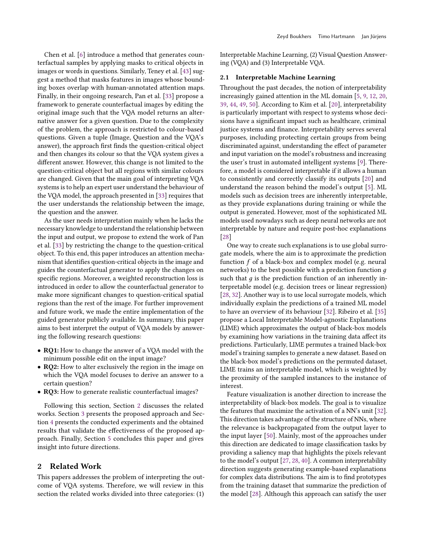Chen et al. [\[6\]](#page-11-0) introduce a method that generates counterfactual samples by applying masks to critical objects in images or words in questions. Similarly, Teney et al. [\[43\]](#page-12-4) suggest a method that masks features in images whose bounding boxes overlap with human-annotated attention maps. Finally, in their ongoing research, Pan et al. [\[33\]](#page-12-3) propose a framework to generate counterfactual images by editing the original image such that the VQA model returns an alternative answer for a given question. Due to the complexity of the problem, the approach is restricted to colour-based questions. Given a tuple (Image, Question and the VQA's answer), the approach first finds the question-critical object and then changes its colour so that the VQA system gives a different answer. However, this change is not limited to the question-critical object but all regions with similar colours are changed. Given that the main goal of interpreting VQA systems is to help an expert user understand the behaviour of the VQA model, the approach presented in [\[33\]](#page-12-3) requires that the user understands the relationship between the image, the question and the answer.

As the user needs interpretation mainly when he lacks the necessary knowledge to understand the relationship between the input and output, we propose to extend the work of Pan et al. [\[33\]](#page-12-3) by restricting the change to the question-critical object. To this end, this paper introduces an attention mechanism that identifies question-critical objects in the image and guides the counterfactual generator to apply the changes on specific regions. Moreover, a weighted reconstruction loss is introduced in order to allow the counterfactual generator to make more significant changes to question-critical spatial regions than the rest of the image. For further improvement and future work, we made the entire implementation of the guided generator publicly available. In summary, this paper aims to best interpret the output of VQA models by answering the following research questions:

- RQ1: How to change the answer of a VQA model with the minimum possible edit on the input image?
- **RO2:** How to alter exclusively the region in the image on which the VQA model focuses to derive an answer to a certain question?
- RQ3: How to generate realistic counterfactual images?

Following this section, Section [2](#page-1-0) discusses the related works. Section [3](#page-3-0) presents the proposed approach and Section [4](#page-6-0) presents the conducted experiments and the obtained results that validate the effectiveness of the proposed approach. Finally, Section [5](#page-10-0) concludes this paper and gives insight into future directions.

## <span id="page-1-0"></span>2 Related Work

This papers addresses the problem of interpreting the outcome of VQA systems. Therefore, we will review in this section the related works divided into three categories: (1)

Interpretable Machine Learning, (2) Visual Question Answering (VQA) and (3) Interpretable VQA.

#### 2.1 Interpretable Machine Learning

Throughout the past decades, the notion of interpretability increasingly gained attention in the ML domain [\[5,](#page-11-4) [9,](#page-11-5) [12,](#page-11-6) [20,](#page-11-7) [39,](#page-12-5) [44,](#page-12-6) [49,](#page-12-7) [50\]](#page-12-8). According to Kim et al. [\[20\]](#page-11-7), interpretability is particularly important with respect to systems whose decisions have a significant impact such as healthcare, criminal justice systems and finance. Interpretability serves several purposes, including protecting certain groups from being discriminated against, understanding the effect of parameter and input variation on the model's robustness and increasing the user's trust in automated intelligent systems [\[9\]](#page-11-5). Therefore, a model is considered interpretable if it allows a human to consistently and correctly classify its outputs [\[20\]](#page-11-7) and understand the reason behind the model's output [\[5\]](#page-11-4). ML models such as decision trees are inherently interpretable, as they provide explanations during training or while the output is generated. However, most of the sophisticated ML models used nowadays such as deep neural networks are not interpretable by nature and require post-hoc explanations [\[28\]](#page-12-9)

One way to create such explanations is to use global surrogate models, where the aim is to approximate the prediction function  $f$  of a black-box and complex model (e.g. neural networks) to the best possible with a prediction function  $g$ such that  $g$  is the prediction function of an inherently interpretable model (e.g. decision trees or linear regression) [\[28,](#page-12-9) [32\]](#page-12-10). Another way is to use local surrogate models, which individually explain the predictions of a trained ML model to have an overview of its behaviour [\[32\]](#page-12-10). Ribeiro et al. [\[35\]](#page-12-11) propose a Local Interpretable Model-agnostic Explanations (LIME) which approximates the output of black-box models by examining how variations in the training data affect its predictions. Particularly, LIME permutes a trained black-box model's training samples to generate a new dataset. Based on the black-box model's predictions on the permuted dataset, LIME trains an interpretable model, which is weighted by the proximity of the sampled instances to the instance of interest.

Feature visualization is another direction to increase the interpretability of black-box models. The goal is to visualize the features that maximize the activation of a NN's unit [\[32\]](#page-12-10). This direction takes advantage of the structure of NNs, where the relevance is backpropagated from the output layer to the input layer [\[50\]](#page-12-8). Mainly, most of the approaches under this direction are dedicated to image classification tasks by providing a saliency map that highlights the pixels relevant to the model's output [\[27,](#page-12-12) [28,](#page-12-9) [40\]](#page-12-13). A common interpretability direction suggests generating example-based explanations for complex data distributions. The aim is to find prototypes from the training dataset that summarize the prediction of the model [\[28\]](#page-12-9). Although this approach can satisfy the user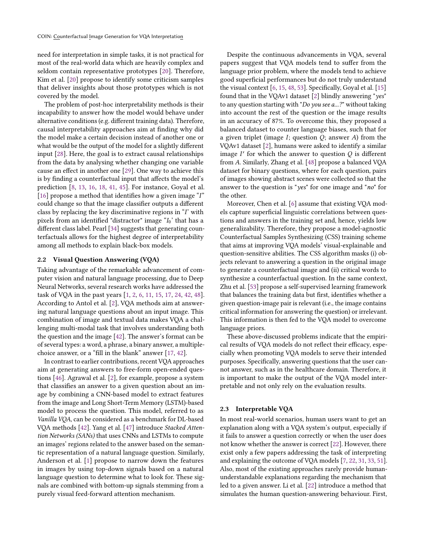need for interpretation in simple tasks, it is not practical for most of the real-world data which are heavily complex and seldom contain representative prototypes [\[20\]](#page-11-7). Therefore, Kim et al. [\[20\]](#page-11-7) propose to identify some criticism samples that deliver insights about those prototypes which is not covered by the model.

The problem of post-hoc interpretability methods is their incapability to answer how the model would behave under alternative conditions (e.g. different training data). Therefore, causal interpretability approaches aim at finding why did the model make a certain decision instead of another one or what would be the output of the model for a slightly different input [\[28\]](#page-12-9). Here, the goal is to extract causal relationships from the data by analysing whether changing one variable cause an effect in another one [\[29\]](#page-12-14). One way to achieve this is by finding a counterfactual input that affects the model's prediction [\[8,](#page-11-8) [13,](#page-11-9) [16,](#page-11-10) [18,](#page-11-11) [41,](#page-12-15) [45\]](#page-12-16). For instance, Goyal et al. [\[16\]](#page-11-10) propose a method that identifies how a given image  $\tilde{I}$ " could change so that the image classifier outputs a different class by replacing the key discriminative regions in  $\mathcal{T}'$  with pixels from an identified "distractor" image " $I_0$ ' that has a different class label. Pearl [\[34\]](#page-12-17) suggests that generating counterfactuals allows for the highest degree of interpretability among all methods to explain black-box models.

### 2.2 Visual Question Answering (VQA)

Taking advantage of the remarkable advancement of computer vision and natural language processing, due to Deep Neural Networks, several research works have addressed the task of VQA in the past years [\[1,](#page-11-12) [2,](#page-11-1) [6,](#page-11-0) [11,](#page-11-13) [15,](#page-11-2) [17,](#page-11-14) [24,](#page-12-18) [42,](#page-12-19) [48\]](#page-12-20). According to Antol et al. [\[2\]](#page-11-1), VQA methods aim at answering natural language questions about an input image. This combination of image and textual data makes VQA a challenging multi-modal task that involves understanding both the question and the image [\[42\]](#page-12-19). The answer's format can be of several types: a word, a phrase, a binary answer, a multiplechoice answer, or a "fill in the blank" answer [\[17,](#page-11-14) [42\]](#page-12-19).

In contrast to earlier contributions, recent VQA approaches aim at generating answers to free-form open-ended questions [\[46\]](#page-12-21). Agrawal et al. [\[2\]](#page-11-1), for example, propose a system that classifies an answer to a given question about an image by combining a CNN-based model to extract features from the image and Long Short-Term Memory (LSTM)-based model to process the question. This model, referred to as Vanilla VQA, can be considered as a benchmark for DL-based VQA methods [\[42\]](#page-12-19). Yang et al. [\[47\]](#page-12-22) introduce Stacked Attention Networks (SANs) that uses CNNs and LSTMs to compute an images' regions related to the answer based on the semantic representation of a natural language question. Similarly, Anderson et al. [\[1\]](#page-11-12) propose to narrow down the features in images by using top-down signals based on a natural language question to determine what to look for. These signals are combined with bottom-up signals stemming from a purely visual feed-forward attention mechanism.

Despite the continuous advancements in VQA, several papers suggest that VQA models tend to suffer from the language prior problem, where the models tend to achieve good superficial performances but do not truly understand the visual context [\[6,](#page-11-0) [15,](#page-11-2) [48,](#page-12-20) [53\]](#page-12-23). Specifically, Goyal et al. [\[15\]](#page-11-2) found that in the VQAv1 dataset [\[2\]](#page-11-1) blindly answering "yes" to any question starting with "Do you see a...?" without taking into account the rest of the question or the image results in an accuracy of 87%. To overcome this, they proposed a balanced dataset to counter language biases, such that for a given triplet (image  $I$ ; question  $Q$ ; answer  $A$ ) from the VQAv1 dataset [\[2\]](#page-11-1), humans were asked to identify a similar image  $I'$  for which the answer to question  $Q$  is different from A. Similarly, Zhang et al. [\[48\]](#page-12-20) propose a balanced VQA dataset for binary questions, where for each question, pairs of images showing abstract scenes were collected so that the answer to the question is "yes" for one image and "no" for the other.

Moreover, Chen et al. [\[6\]](#page-11-0) assume that existing VQA models capture superficial linguistic correlations between questions and answers in the training set and, hence, yields low generalizability. Therefore, they propose a model-agnostic Counterfactual Samples Synthesizing (CSS) training scheme that aims at improving VQA models' visual-explainable and question-sensitive abilities. The CSS algorithm masks (i) objects relevant to answering a question in the original image to generate a counterfactual image and (ii) critical words to synthesize a counterfactual question. In the same context, Zhu et al. [\[53\]](#page-12-23) propose a self-supervised learning framework that balances the training data but first, identifies whether a given question-image pair is relevant (i.e., the image contains critical information for answering the question) or irrelevant. This information is then fed to the VQA model to overcome language priors.

These above-discussed problems indicate that the empirical results of VQA models do not reflect their efficacy, especially when promoting VQA models to serve their intended purposes. Specifically, answering questions that the user cannot answer, such as in the healthcare domain. Therefore, it is important to make the output of the VQA model interpretable and not only rely on the evaluation results.

#### 2.3 Interpretable VQA

In most real-world scenarios, human users want to get an explanation along with a VQA system's output, especially if it fails to answer a question correctly or when the user does not know whether the answer is correct [\[22\]](#page-12-1). However, there exist only a few papers addressing the task of interpreting and explaining the outcome of VQA models [\[7,](#page-11-15) [22,](#page-12-1) [31,](#page-12-0) [33,](#page-12-3) [51\]](#page-12-2). Also, most of the existing approaches rarely provide humanunderstandable explanations regarding the mechanism that led to a given answer. Li et al. [\[22\]](#page-12-1) introduce a method that simulates the human question-answering behaviour. First,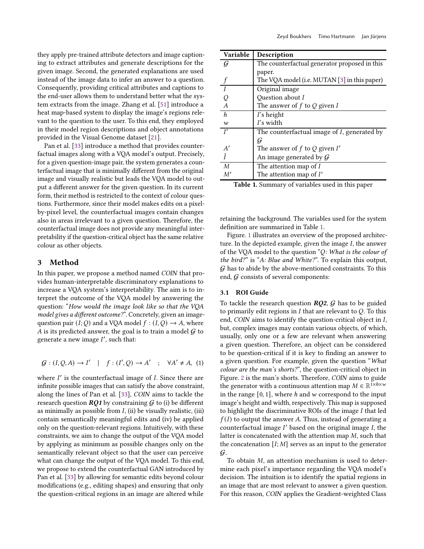they apply pre-trained attribute detectors and image captioning to extract attributes and generate descriptions for the given image. Second, the generated explanations are used instead of the image data to infer an answer to a question. Consequently, providing critical attributes and captions to the end-user allows them to understand better what the system extracts from the image. Zhang et al. [\[51\]](#page-12-2) introduce a heat map-based system to display the image's regions relevant to the question to the user. To this end, they employed in their model region descriptions and object annotations provided in the Visual Genome dataset [\[21\]](#page-12-24).

Pan et al. [\[33\]](#page-12-3) introduce a method that provides counterfactual images along with a VQA model's output. Precisely, for a given question-image pair, the system generates a counterfactual image that is minimally different from the original image and visually realistic but leads the VQA model to output a different answer for the given question. In its current form, their method is restricted to the context of colour questions. Furthermore, since their model makes edits on a pixelby-pixel level, the counterfactual images contain changes also in areas irrelevant to a given question. Therefore, the counterfactual image does not provide any meaningful interpretability if the question-critical object has the same relative colour as other objects.

## <span id="page-3-0"></span>3 Method

In this paper, we propose a method named COIN that provides human-interpretable discriminatory explanations to increase a VQA system's interpretability. The aim is to interpret the outcome of the VQA model by answering the question: "How would the image look like so that the VQA model gives a different outcome?". Concretely, given an imagequestion pair  $(I; Q)$  and a VQA model  $f : (I, Q) \rightarrow A$ , where A is its predicted answer, the goal is to train a model  $G$  to generate a new image  $I'$ , such that:

$$
\mathcal{G} : (I, Q, A) \to I' \mid f : (I', Q) \to A' \quad ; \quad \forall A' \neq A, \tag{1}
$$

where  $I'$  is the counterfactual image of  $I$ . Since there are infinite possible images that can satisfy the above constraint, along the lines of Pan et al. [\[33\]](#page-12-3), COIN aims to tackle the research question  $RQ1$  by constraining  $G$  to (i) be different as minimally as possible from  $I$ , (ii) be visually realistic, (iii) contain semantically meaningful edits and (iv) be applied only on the question-relevant regions. Intuitively, with these constraints, we aim to change the output of the VQA model by applying as minimum as possible changes only on the semantically relevant object so that the user can perceive what can change the output of the VQA model. To this end, we propose to extend the counterfactual GAN introduced by Pan et al. [\[33\]](#page-12-3) by allowing for semantic edits beyond colour modifications (e.g., editing shapes) and ensuring that only the question-critical regions in an image are altered while

<span id="page-3-1"></span>

| Variable         | <b>Description</b>                            |
|------------------|-----------------------------------------------|
| $\mathcal G$     | The counterfactual generator proposed in this |
|                  | paper.                                        |
|                  | The VQA model (i.e. MUTAN [3] in this paper)  |
|                  | Original image                                |
| Q                | Question about I                              |
| $\boldsymbol{A}$ | The answer of $f$ to $Q$ given $I$            |
| $\boldsymbol{h}$ | I's height                                    |
| $\boldsymbol{w}$ | $\Gamma$ s width                              |
| I'               | The counterfactual image of I, generated by   |
|                  | G                                             |
| A'               | The answer of f to Q given $I'$               |
| $\hat{I}$        | An image generated by $G$                     |
| $\overline{M}$   | The attention map of $I$                      |
| M'               | The attention map of $I'$                     |

Table 1. Summary of variables used in this paper

retaining the background. The variables used for the system definition are summarized in Table [1.](#page-3-1)

Figure. [1](#page-4-0) illustrates an overview of the proposed architecture. In the depicted example, given the image  $I$ , the answer of the VQA model to the question " $Q$ : What is the colour of the bird?" is " $A$ : Blue and White?". To explain this output,  $G$  has to abide by the above-mentioned constraints. To this end,  $G$  consists of several components:

#### 3.1 ROI Guide

To tackle the research question  $RQ2$ ,  $G$  has to be guided to primarily edit regions in  $I$  that are relevant to  $Q$ . To this end,  $CON$  aims to identify the question-critical object in  $I$ , but, complex images may contain various objects, of which, usually, only one or a few are relevant when answering a given question. Therefore, an object can be considered to be question-critical if it is key to finding an answer to a given question. For example, given the question "What colour are the man's shorts?", the question-critical object in Figure. [2](#page-4-1) is the man's shorts. Therefore, COIN aims to guide the generator with a continuous attention map  $M \in \mathbb{R}^{1 \times h \times w}$ in the range  $[0, 1]$ , where h and w correspond to the input image's height and width, respectively. This map is supposed to highlight the discriminative ROIs of the image  $I$  that led  $f(I)$  to output the answer A. Thus, instead of generating a counterfactual image  $I'$  based on the original image  $I$ , the latter is concatenated with the attention map  $M$ , such that the concatenation  $[I; M]$  serves as an input to the generator  $\mathcal{G}$ .

To obtain  $M$ , an attention mechanism is used to determine each pixel's importance regarding the VQA model's decision. The intuition is to identify the spatial regions in an image that are most relevant to answer a given question. For this reason, COIN applies the Gradient-weighted Class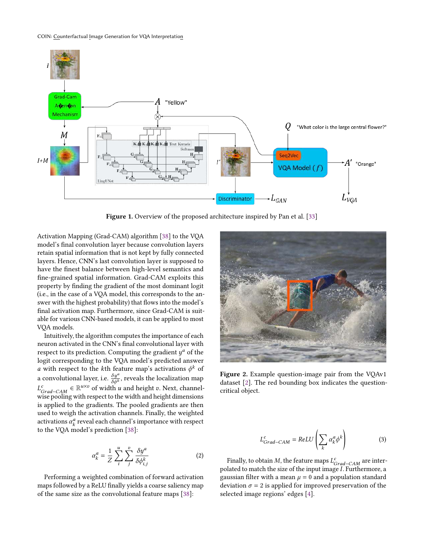<span id="page-4-0"></span>

Figure 1. Overview of the proposed architecture inspired by Pan et al. [\[33\]](#page-12-3)

Activation Mapping (Grad-CAM) algorithm [\[38\]](#page-12-25) to the VQA model's final convolution layer because convolution layers retain spatial information that is not kept by fully connected layers. Hence, CNN's last convolution layer is supposed to have the finest balance between high-level semantics and fine-grained spatial information. Grad-CAM exploits this property by finding the gradient of the most dominant logit (i.e., in the case of a VQA model, this corresponds to the answer with the highest probability) that flows into the model's final activation map. Furthermore, since Grad-CAM is suitable for various CNN-based models, it can be applied to most VQA models.

Intuitively, the algorithm computes the importance of each neuron activated in the CNN's final convolutional layer with respect to its prediction. Computing the gradient  $y^a$  of the logit corresponding to the VQA model's predicted answer a with respect to the kth feature map's activations  $\phi^k$  of a convolutional layer, i.e.  $\frac{\delta y^a}{\delta \phi^k}$ , reveals the localization map  $L_{Grad-CAM}^{c}$  ∈  $\mathbb{R}^{u \times v}$  of width *u* and height *v*. Next, channelwise pooling with respect to the width and height dimensions is applied to the gradients. The pooled gradients are then used to weigh the activation channels. Finally, the weighted activations  $\alpha_k^a$  reveal each channel's importance with respect to the VQA model's prediction [\[38\]](#page-12-25):

$$
\alpha_k^a = \frac{1}{Z} \sum_{i}^{u} \sum_{j}^{v} \frac{\delta y^a}{\delta \phi_{i,j}^k}
$$
 (2)

Performing a weighted combination of forward activation maps followed by a ReLU finally yields a coarse saliency map of the same size as the convolutional feature maps [\[38\]](#page-12-25):

<span id="page-4-1"></span>

Figure 2. Example question-image pair from the VQAv1 dataset [\[2\]](#page-11-1). The red bounding box indicates the questioncritical object.

$$
L_{Grad-CAM}^c = ReLU\left(\sum_k \alpha_k^a \phi^k\right)
$$
 (3)

Finally, to obtain M, the feature maps  $L_{Grad-CAM}^{c}$  are interpolated to match the size of the input image  $\overline{I}$ . Furthermore, a gaussian filter with a mean  $\mu = 0$  and a population standard deviation  $\sigma = 2$  is applied for improved preservation of the selected image regions' edges [\[4\]](#page-11-17).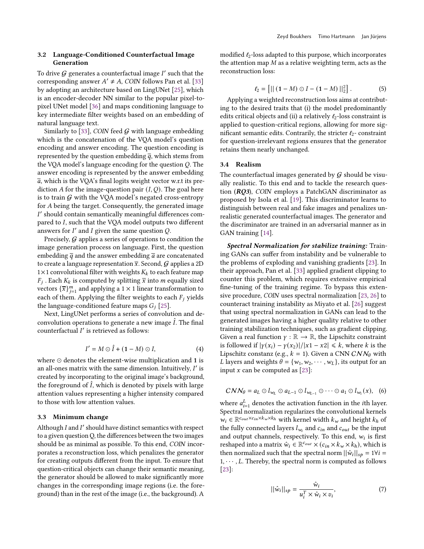## 3.2 Language-Conditioned Counterfactual Image Generation

To drive  $G$  generates a counterfactual image  $I'$  such that the corresponding answer  $A' \neq A$ , COIN follows Pan et al. [\[33\]](#page-12-3) by adopting an architecture based on LingUNet [\[25\]](#page-12-26), which is an encoder-decoder NN similar to the popular pixel-topixel UNet model [\[36\]](#page-12-27) and maps conditioning language to key intermediate filter weights based on an embedding of natural language text.

Similarly to [\[33\]](#page-12-3), COIN feed  $G$  with language embedding which is the concatenation of the VQA model's question encoding and answer encoding. The question encoding is represented by the question embedding  $\overline{q}$ , which stems from the VQA model's language encoding for the question  $Q$ . The answer encoding is represented by the answer embedding  $\overline{a}$ , which is the VQA's final logits weight vector w.r.t its prediction A for the image-question pair  $(I, Q)$ . The goal here is to train  $G$  with the VQA model's negated cross-entropy for A being the target. Consequently, the generated image ′ should contain semantically meaningful differences compared to I, such that the VQA model outputs two different answers for  $I'$  and  $I$  given the same question  $Q$ .

Precisely,  $G$  applies a series of operations to condition the image generation process on language. First, the question embedding  $\overline{q}$  and the answer embedding  $\overline{a}$  are concatenated to create a language representation  $\bar{x}$ . Second, G applies a 2D  $1\times1$  convolutional filter with weights  $K_k$  to each feature map  $F_j$ . Each  $K_k$  is computed by splitting  $\bar{x}$  into  $m$  equally sized vectors  $\{\overline{x}\}_{j=1}^m$  and applying a  $1 \times 1$  linear transformation to each of them. Applying the filter weights to each  $F_i$  yields the language-conditioned feature maps  $G_i$  [\[25\]](#page-12-26).

Next, LingUNet performs a series of convolution and deconvolution operations to generate a new image  $\ddot{I}$ . The final counterfactual I' is retrieved as follows:

$$
I' = M \odot \hat{I} + (1 - M) \odot I,\tag{4}
$$

where ⊙ denotes the element-wise multiplication and 1 is an all-ones matrix with the same dimension. Intuitively,  $I'$  is created by incorporating to the original image's background, the foreground of  $\hat{I}$ , which is denoted by pixels with large attention values representing a higher intensity compared to those with low attention values.

#### 3.3 Minimum change

Although  $I$  and  $I'$  should have distinct semantics with respect to a given question Q, the differences between the two images should be as minimal as possible. To this end, COIN incorporates a reconstruction loss, which penalizes the generator for creating outputs different from the input. To ensure that question-critical objects can change their semantic meaning, the generator should be allowed to make significantly more changes in the corresponding image regions (i.e. the foreground) than in the rest of the image (i.e., the background). A

modified  $\ell_2$ -loss adapted to this purpose, which incorporates the attention map  $M$  as a relative weighting term, acts as the reconstruction loss:

$$
\ell_2 = [|| (1 - M) \odot I - (1 - M) ||_2^2]. \tag{5}
$$

Applying a weighted reconstruction loss aims at contributing to the desired traits that (i) the model predominantly edits critical objects and (ii) a relatively  $\ell_2$ -loss constraint is applied to question-critical regions, allowing for more significant semantic edits. Contrarily, the stricter  $l_2$ - constraint for question-irrelevant regions ensures that the generator retains them nearly unchanged.

#### 3.4 Realism

The counterfactual images generated by  $G$  should be visually realistic. To this end and to tackle the research question  $(RQ3)$ , COIN employs a PatchGAN discriminator as proposed by Isola et al. [\[19\]](#page-11-18). This discriminator learns to distinguish between real and fake images and penalizes unrealistic generated counterfactual images. The generator and the discriminator are trained in an adversarial manner as in GAN training [\[14\]](#page-11-19).

Spectral Normalization for stabilize training: Training GANs can suffer from instability and be vulnerable to the problems of exploding and vanishing gradients [\[23\]](#page-12-28). In their approach, Pan et al. [\[33\]](#page-12-3) applied gradient clipping to counter this problem, which requires extensive empirical fine-tuning of the training regime. To bypass this extensive procedure, COIN uses spectral normalization [\[23,](#page-12-28) [26\]](#page-12-29) to counteract training instability as Miyato et al. [\[26\]](#page-12-29) suggest that using spectral normalization in GANs can lead to the generated images having a higher quality relative to other training stabilization techniques, such as gradient clipping. Given a real function  $\gamma : \mathbb{R} \to \mathbb{R}$ , the Lipschitz constraint is followed if  $|\gamma(x_i) - \gamma(x_2)|/|x_1 - x_2| \le k$ , where k is the Lipschitz constanz (e.g.,  $k = 1$ ). Given a CNN  $CNN_\theta$  with L layers and weights  $\theta = \{w_1, w_2, \dots, w_L\}$ , its output for an input  $x$  can be computed as  $[23]$ :

$$
CNN_{\theta} = a_L \odot l_{w_L} \odot a_{L-1} \odot l_{w_{L-1}} \odot \cdots \odot a_1 \odot l_{w_1}(x), \quad (6)
$$

where  $a_{i=1}^L$  denotes the activation function in the *i*th layer. Spectral normalization regularizes the convolutional kernels  $w_i \in \mathbb{R}^{c_{out} \times c_{in} \times k_w \times k_h}$  with kernel width  $k_w$  and height  $k_h$  of the fully connected layers  $l_{w_i}$  and  $c_{in}$  and  $c_{out}$  be the input and output channels, respectively. To this end,  $w_i$  is first reshaped into a matrix  $\hat{w}_i \in \mathbb{R}^{c_{out}} \times (c_{in} \times k_w \times k_h)$ , which is then normalized such that the spectral norm  $||\hat{w}_i||_{sp} = 1 \forall i =$  $1, \dots, L$ . Thereby, the spectral norm is computed as follows [\[23\]](#page-12-28):

$$
||\hat{w}_i||_{sp} = \frac{\hat{w}_i}{u_i^T \times \hat{w}_i \times v_i},
$$
\n(7)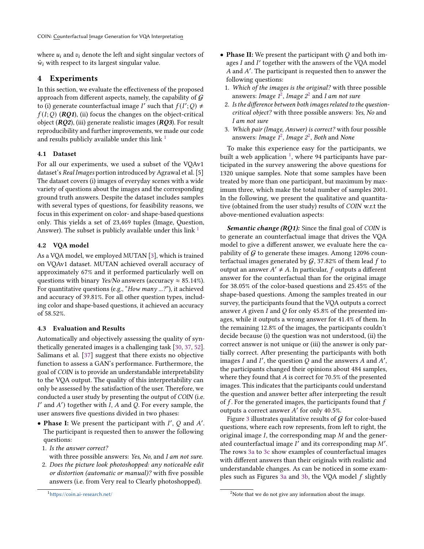where  $u_i$  and  $v_i$  denote the left and sight singular vectors of  $\hat{w}_i$  with respect to its largest singular value.

## <span id="page-6-0"></span>4 Experiments

In this section, we evaluate the effectiveness of the proposed approach from different aspects, namely, the capability of  $G$ to (i) generate counterfactual image I' such that  $f(I';Q) \neq$  $f(I;Q)$  (RQ1), (ii) focus the changes on the object-critical object  $(RQ2)$ , (iii) generate realistic images  $(RQ3)$ . For result reproducibility and further improvements, we made our code and results publicly available under this link  $<sup>1</sup>$  $<sup>1</sup>$  $<sup>1</sup>$ </sup>

## 4.1 Dataset

For all our experiments, we used a subset of the VQAv1 dataset's Real Images portion introduced by Agrawal et al. [5] The dataset covers (i) images of everyday scenes with a wide variety of questions about the images and the corresponding ground truth answers. Despite the dataset includes samples with several types of questions, for feasibility reasons, we focus in this experiment on color- and shape-based questions only. This yields a set of 23,469 tuples (Image, Question, Answer). The subset is publicly available under this link  $<sup>1</sup>$  $<sup>1</sup>$  $<sup>1</sup>$ </sup>

## 4.2 VQA model

As a VQA model, we employed MUTAN [\[3\]](#page-11-16), which is trained on VQAv1 dataset. MUTAN achieved overall accuracy of approximately 67% and it performed particularly well on questions with binary Yes/No answers (accuracy  $\approx 85.14\%$ ). For quantitative questions (e.g., "How many ...?"), it achieved and accuracy of 39.81%. For all other question types, including color and shape-based questions, it achieved an accuracy of 58.52%.

## 4.3 Evaluation and Results

Automatically and objectively assessing the quality of synthetically generated images is a challenging task [\[30,](#page-12-30) [37,](#page-12-31) [52\]](#page-12-32). Salimans et al. [\[37\]](#page-12-31) suggest that there exists no objective function to assess a GAN's performance. Furthermore, the goal of COIN is to provide an understandable interpretability to the VQA output. The quality of this interpretability can only be assessed by the satisfaction of the user. Therefore, we conducted a user study by presenting the output of COIN (i.e.  $I'$  and  $A'$ ) together with  $I$ ,  $A$  and  $Q$ . For every sample, the user answers five questions divided in two phases:

- Phase I: We present the participant with  $I'$ ,  $Q$  and  $A'$ . The participant is requested then to answer the following questions:
- 1. Is the answer correct?
	- with three possible answers: Yes, No, and I am not sure.
- 2. Does the picture look photoshopped: any noticeable edit or distortion (automatic or manual)? with five possible answers (i.e. from Very real to Clearly photoshopped).

```
1https://coin.ai-research.net/
```
- <span id="page-6-1"></span>• Phase II: We present the participant with  $O$  and both images I and I' together with the answers of the VQA model A and A'. The participant is requested then to answer the following questions:
	- 1. Which of the images is the original? with three possible answers: Image  $1^2$  $1^2$ , Image  $2^2$  and I am not sure
	- 2. Is the difference between both images related to the questioncritical object? with three possible answers: Yes, No and I am not sure
- 3. Which pair (Image, Answer) is correct? with four possible answers: Image  $1^2$  $1^2$ , Image  $2^2$ , Both and None

To make this experience easy for the participants, we built a web application  $^1$  $^1$ , where 94 participants have participated in the survey answering the above questions for 1320 unique samples. Note that some samples have been treated by more than one participant, but maximum by maximum three, which make the total number of samples 2001. In the following, we present the qualitative and quantitative (obtained from the user study) results of COIN w.r.t the above-mentioned evaluation aspects:

Semantic change (RQ1): Since the final goal of COIN is to generate an counterfactual image that drives the VQA model to give a different answer, we evaluate here the capability of  $G$  to generate these images. Among 12096 counterfactual images generated by  $G$ , 37.82% of them lead f to output an answer  $A' \neq A$ . In particular, f outputs a different answer for the counterfactual than for the original image for 38.05% of the color-based questions and 25.45% of the shape-based questions. Among the samples treated in our survey, the participants found that the VQA outputs a correct answer A given I and Q for only 45.8% of the presented images, while it outputs a wrong answer for 41.4% of them. In the remaining 12.8% of the images, the participants couldn't decide because (i) the question was not understood, (ii) the correct answer is not unique or (iii) the answer is only partially correct. After presenting the participants with both images  $I$  and  $I'$ , the question  $Q$  and the answers  $A$  and  $A'$ , the participants changed their opinions about 484 samples, where they found that  $A$  is correct for 70.5% of the presented images. This indicates that the participants could understand the question and answer better after interpreting the result of  $f$ . For the generated images, the participants found that  $f$ outputs a correct answer A' for only 40.5%.

Figure [3](#page-8-0) illustrates qualitative results of  $G$  for color-based questions, where each row represents, from left to right, the original image  $I$ , the corresponding map  $M$  and the generated counterfactual image  $I'$  and its corresponding map  $M'$ . The rows [3a](#page-8-0) to [3c](#page-8-0) show examples of counterfactual images with different answers than their originals with realistic and understandable changes. As can be noticed in some exam-ples such as Figures [3a](#page-8-0) and [3b,](#page-8-0) the VQA model  $f$  slightly

<sup>&</sup>lt;sup>2</sup>Note that we do not give any information about the image.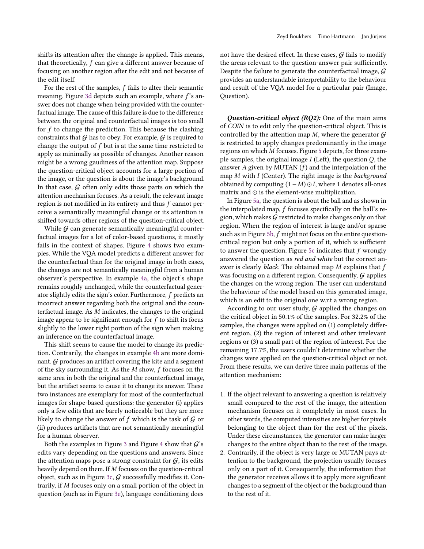shifts its attention after the change is applied. This means, that theoretically,  $f$  can give a different answer because of focusing on another region after the edit and not because of the edit itself.

For the rest of the samples,  $f$  fails to alter their semantic meaning. Figure [3d](#page-8-0) depicts such an example, where  $f$ 's answer does not change when being provided with the counterfactual image. The cause of this failure is due to the difference between the original and counterfactual images is too small for  $f$  to change the prediction. This because the clashing constraints that  $G$  has to obey. For example,  $G$  is required to change the output of  $f$  but is at the same time restricted to apply as minimally as possible of changes. Another reason might be a wrong gaudiness of the attention map. Suppose the question-critical object accounts for a large portion of the image, or the question is about the image's background. In that case,  $G$  often only edits those parts on which the attention mechanism focuses. As a result, the relevant image region is not modified in its entirety and thus  $f$  cannot perceive a semantically meaningful change or its attention is shifted towards other regions of the question-critical object.

While  $G$  can generate semantically meaningful counterfactual images for a lot of color-based questions, it mostly fails in the context of shapes. Figure [4](#page-9-0) shows two examples. While the VQA model predicts a different answer for the counterfactual than for the original image in both cases, the changes are not semantically meaningful from a human observer's perspective. In example [4a,](#page-9-0) the object's shape remains roughly unchanged, while the counterfactual generator slightly edits the sign's color. Furthermore, f predicts an incorrect answer regarding both the original and the counterfactual image. As  $M$  indicates, the changes to the original image appear to be significant enough for  $f$  to shift its focus slightly to the lower right portion of the sign when making an inference on the counterfactual image.

This shift seems to cause the model to change its prediction. Contrarily, the changes in example [4b](#page-9-0) are more dominant.  $G$  produces an artifact covering the kite and a segment of the sky surrounding it. As the  $M$  show,  $f$  focuses on the same area in both the original and the counterfactual image, but the artifact seems to cause it to change its answer. These two instances are exemplary for most of the counterfactual images for shape-based questions: the generator (i) applies only a few edits that are barely noticeable but they are more likely to change the answer of  $f$  which is the task of  $G$  or (ii) produces artifacts that are not semantically meaningful for a human observer.

Both the examples in Figure [3](#page-8-0) and Figure [4](#page-9-0) show that  $G$ 's edits vary depending on the questions and answers. Since the attention maps pose a strong constraint for  $G$ , its edits heavily depend on them. If  $M$  focuses on the question-critical object, such as in Figure [3c,](#page-8-0)  $G$  successfully modifies it. Contrarily, if M focuses only on a small portion of the object in question (such as in Figure [3e\)](#page-8-0), language conditioning does

not have the desired effect. In these cases,  $G$  fails to modify the areas relevant to the question-answer pair sufficiently. Despite the failure to generate the counterfactual image, G provides an understandable interpretability to the behaviour and result of the VQA model for a particular pair (Image, Question).

Question-critical object (RQ2): One of the main aims of COIN is to edit only the question-critical object. This is controlled by the attention map  $M$ , where the generator  $G$ is restricted to apply changes predominantly in the image regions on which M focuses. Figure [5](#page-10-1) depicts, for three example samples, the original image  $I$  (Left), the question  $Q$ , the answer  $A$  given by MUTAN  $(f)$  and the interpolation of the map  $M$  with  $I$  (Center). The right image is the background obtained by computing  $(1-M)$  ⊙ *I*, where 1 denotes all-ones matrix and ⊙ is the element-wise multiplication.

In Figure [5a,](#page-10-1) the question is about the ball and as shown in the interpolated map,  $f$  focuses specifically on the ball's region, which makes  $G$  restricted to make changes only on that region. When the region of interest is large and/or sparse such as in Figure [5b,](#page-10-1)  $f$  might not focus on the entire questioncritical region but only a portion of it, which is sufficient to answer the question. Figure [5c](#page-10-1) indicates that  $f$  wrongly answered the question as red and white but the correct answer is clearly *black*. The obtained map  $M$  explains that  $f$ was focusing on a different region. Consequently,  $G$  applies the changes on the wrong region. The user can understand the behaviour of the model based on this generated image, which is an edit to the original one w.r.t a wrong region.

According to our user study,  $G$  applied the changes on the critical object in 50.1% of the samples. For 32.2% of the samples, the changes were applied on (1) completely different region, (2) the region of interest and other irrelevant regions or (3) a small part of the region of interest. For the remaining 17.7%, the users couldn't determine whether the changes were applied on the question-critical object or not. From these results, we can derive three main patterns of the attention mechanism:

- 1. If the object relevant to answering a question is relatively small compared to the rest of the image, the attention mechanism focuses on it completely in most cases. In other words, the computed intensities are higher for pixels belonging to the object than for the rest of the pixels. Under these circumstances, the generator can make larger changes to the entire object than to the rest of the image.
- 2. Contrarily, if the object is very large or MUTAN pays attention to the background, the projection usually focuses only on a part of it. Consequently, the information that the generator receives allows it to apply more significant changes to a segment of the object or the background than to the rest of it.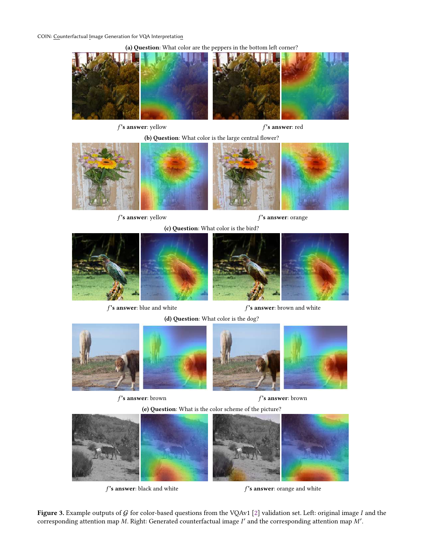<span id="page-8-0"></span>COIN: Counterfactual Image Generation for VQA Interpretation

(a) Question: What color are the peppers in the bottom left corner?



 $f$ 's answer: yellow  $f$ 's answer: red

(b) Question: What color is the large central flower?





 $f$ 's answer: yellow  $f$ 's answer: orange







 $f$  's answer: blue and white  $f$  's answer: brown and white

(d) Question: What color is the dog?



 $f$ 's answer: brown  $f$ 's answer: brown

(e) Question: What is the color scheme of the picture?



 $f$  's answer: black and white  $f'$  is answer: orange and white

Figure 3. Example outputs of  $G$  for color-based questions from the VQAv1 [\[2\]](#page-11-1) validation set. Left: original image  $I$  and the corresponding attention map M. Right: Generated counterfactual image  $I'$  and the corresponding attention map  $M'$ .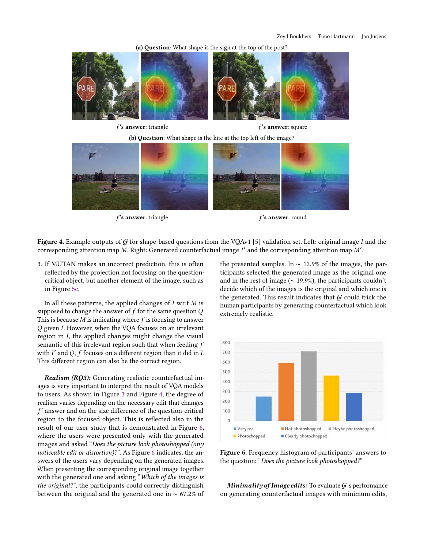(a) Question: What shape is the sign at the top of the post?

<span id="page-9-0"></span>



 $f$ 's answer: triangle  $f$ 's answer: round



Figure 4. Example outputs of G for shape-based questions from the VQAv1 [5] validation set. Left: original image I and the corresponding attention map M. Right: Generated counterfactual image  $I'$  and the corresponding attention map M'.

3. If MUTAN makes an incorrect prediction, this is often reflected by the projection not focusing on the questioncritical object, but another element of the image, such as in Figure [5c.](#page-10-1)

In all these patterns, the applied changes of  $I$  w.r.t  $M$  is supposed to change the answer of  $f$  for the same question  $Q$ . This is because  $M$  is indicating where  $f$  is focusing to answer Q given I. However, when the VQA focuses on an irrelevant region in  $I$ , the applied changes might change the visual semantic of this irrelevant region such that when feeding f with  $I'$  and  $Q$ ,  $f$  focuses on a different region than it did in  $I$ . This different region can also be the correct region.

Realism (RQ3): Generating realistic counterfactual images is very important to interpret the result of VQA models to users. As shown in Figure [3](#page-8-0) and Figure [4,](#page-9-0) the degree of realism varies depending on the necessary edit that changes  $f'$  answer and on the size difference of the question-critical region to the focused object. This is reflected also in the result of our user study that is demonstrated in Figure [6,](#page-9-1) where the users were presented only with the generated images and asked "Does the picture look photoshopped (any noticeable edit or distortion)?". As Figure [6](#page-9-1) indicates, the answers of the users vary depending on the generated images. When presenting the corresponding original image together with the generated one and asking "Which of the images is the original?", the participants could correctly distinguish between the original and the generated one in ∼ 67.2% of

the presented samples. In ∼ 12.9% of the images, the participants selected the generated image as the original one and in the rest of image (∼ 19.9%), the participants couldn't decide which of the images is the original and which one is the generated. This result indicates that  $G$  could trick the human participants by generating counterfactual which look extremely realistic.

<span id="page-9-1"></span>

Figure 6. Frequency histogram of participants' answers to the question: "Does the picture look photoshopped?"

Minimality of Image edits: To evaluate  $G$ 's performance on generating counterfactual images with minimum edits,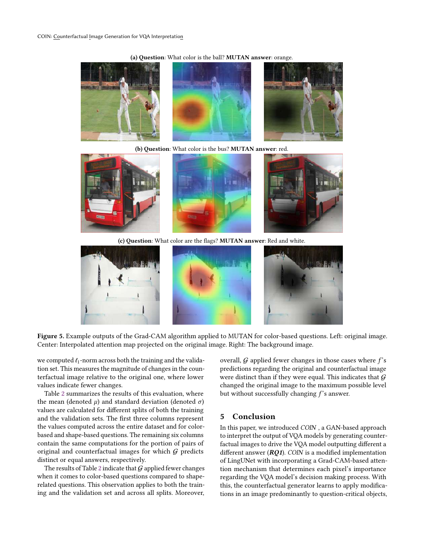#### (a) Question: What color is the ball? MUTAN answer: orange.

<span id="page-10-1"></span>

(b) Question: What color is the bus? MUTAN answer: red.







(c) Question: What color are the flags? MUTAN answer: Red and white.



Figure 5. Example outputs of the Grad-CAM algorithm applied to MUTAN for color-based questions. Left: original image. Center: Interpolated attention map projected on the original image. Right: The background image.

we computed  $\ell_1$ -norm across both the training and the validation set. This measures the magnitude of changes in the counterfactual image relative to the original one, where lower values indicate fewer changes.

Table [2](#page-11-20) summarizes the results of this evaluation, where the mean (denoted  $\mu$ ) and standard deviation (denoted  $\sigma$ ) values are calculated for different splits of both the training and the validation sets. The first three columns represent the values computed across the entire dataset and for colorbased and shape-based questions. The remaining six columns contain the same computations for the portion of pairs of original and counterfactual images for which  $G$  predicts distinct or equal answers, respectively.

The results of Table [2](#page-11-20) indicate that  $G$  applied fewer changes when it comes to color-based questions compared to shaperelated questions. This observation applies to both the training and the validation set and across all splits. Moreover,

overall,  $G$  applied fewer changes in those cases where  $f$ 's predictions regarding the original and counterfactual image were distinct than if they were equal. This indicates that  $G$ changed the original image to the maximum possible level but without successfully changing  $f$ 's answer.

## <span id="page-10-0"></span>5 Conclusion

In this paper, we introduced COIN , a GAN-based approach to interpret the output of VQA models by generating counterfactual images to drive the VQA model outputting different a different answer ( $RQ1$ ). COIN is a modified implementation of LingUNet with incorporating a Grad-CAM-based attention mechanism that determines each pixel's importance regarding the VQA model's decision making process. With this, the counterfactual generator learns to apply modifications in an image predominantly to question-critical objects,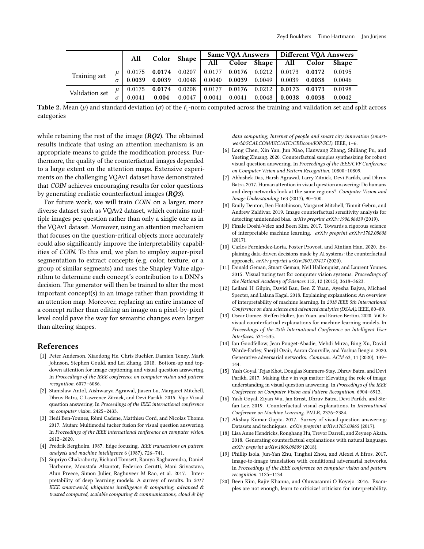<span id="page-11-20"></span>

|                |  | All    | Color  | Shape  | <b>Same VQA Answers</b> |        |            | Different VQA Answers |        |              |
|----------------|--|--------|--------|--------|-------------------------|--------|------------|-----------------------|--------|--------------|
|                |  |        |        |        | All                     | Color  | Shape 1    | All                   | Color  | <b>Shape</b> |
| Training set   |  | 0.0175 | 0.0174 | 0.0207 | 0.0177                  | 0.0176 | $0.0212$   | 0.0173                | 0.0172 | 0.0195       |
|                |  | 0.0039 | 0.0039 | 0.0048 | 0.0040                  | 0.0039 | $0.0049$ 1 | 0.0039                | 0.0038 | 0.0046       |
| Validation set |  | 0.0175 | 0.0174 | 0.0208 | 0.0177                  | 0.0176 |            | $0.0212$ 0.0173       | 0.0173 | 0.0198       |
|                |  | 0.0041 | 0.004  | 0.0047 | 0.0041                  | 0.0041 | 0.0048     | 0.0038                | 0.0038 | 0.0042       |

**Table 2.** Mean ( $\mu$ ) and standard deviation ( $\sigma$ ) of the  $\ell_1$ -norm computed across the training and validation set and split across categories

while retaining the rest of the image  $(RQ2)$ . The obtained results indicate that using an attention mechanism is an appropriate means to guide the modification process. Furthermore, the quality of the counterfactual images depended to a large extent on the attention maps. Extensive experiments on the challenging VQAv1 dataset have demonstrated that COIN achieves encouraging results for color questions by generating realistic counterfactual images  $(RQ3)$ .

For future work, we will train COIN on a larger, more diverse dataset such as VQAv2 dataset, which contains multiple images per question rather than only a single one as in the VQAv1 dataset. Moreover, using an attention mechanism that focuses on the question-critical objects more accurately could also significantly improve the interpretability capabilities of COIN. To this end, we plan to employ super-pixel segmentation to extract concepts (e.g. color, texture, or a group of similar segments) and uses the Shapley Value algorithm to determine each concept's contribution to a DNN's decision. The generator will then be trained to alter the most important concept(s) in an image rather than providing it an attention map. Moreover, replacing an entire instance of a concept rather than editing an image on a pixel-by-pixel level could pave the way for semantic changes even larger than altering shapes.

## References

- <span id="page-11-12"></span>[1] Peter Anderson, Xiaodong He, Chris Buehler, Damien Teney, Mark Johnson, Stephen Gould, and Lei Zhang. 2018. Bottom-up and topdown attention for image captioning and visual question answering. In Proceedings of the IEEE conference on computer vision and pattern recognition. 6077–6086.
- <span id="page-11-1"></span>[2] Stanislaw Antol, Aishwarya Agrawal, Jiasen Lu, Margaret Mitchell, Dhruv Batra, C Lawrence Zitnick, and Devi Parikh. 2015. Vqa: Visual question answering. In Proceedings of the IEEE international conference on computer vision. 2425–2433.
- <span id="page-11-16"></span>[3] Hedi Ben-Younes, Rémi Cadene, Matthieu Cord, and Nicolas Thome. 2017. Mutan: Multimodal tucker fusion for visual question answering. In Proceedings of the IEEE international conference on computer vision. 2612–2620.
- <span id="page-11-17"></span>[4] Fredrik Bergholm. 1987. Edge focusing. IEEE transactions on pattern analysis and machine intelligence 6 (1987), 726–741.
- <span id="page-11-4"></span>[5] Supriyo Chakraborty, Richard Tomsett, Ramya Raghavendra, Daniel Harborne, Moustafa Alzantot, Federico Cerutti, Mani Srivastava, Alun Preece, Simon Julier, Raghuveer M Rao, et al. 2017. Interpretability of deep learning models: A survey of results. In 2017 IEEE smartworld, ubiquitous intelligence & computing, advanced & trusted computed, scalable computing  $\&$  communications, cloud  $\&$  big

data computing, Internet of people and smart city innovation (smartworld/SCALCOM/UIC/ATC/CBDcom/IOP/SCI). IEEE, 1–6.

- <span id="page-11-0"></span>[6] Long Chen, Xin Yan, Jun Xiao, Hanwang Zhang, Shiliang Pu, and Yueting Zhuang. 2020. Counterfactual samples synthesizing for robust visual question answering. In Proceedings of the IEEE/CVF Conference on Computer Vision and Pattern Recognition. 10800–10809.
- <span id="page-11-15"></span>[7] Abhishek Das, Harsh Agrawal, Larry Zitnick, Devi Parikh, and Dhruv Batra. 2017. Human attention in visual question answering: Do humans and deep networks look at the same regions? Computer Vision and Image Understanding 163 (2017), 90–100.
- <span id="page-11-8"></span>[8] Emily Denton, Ben Hutchinson, Margaret Mitchell, Timnit Gebru, and Andrew Zaldivar. 2019. Image counterfactual sensitivity analysis for detecting unintended bias. arXiv preprint arXiv:1906.06439 (2019).
- <span id="page-11-5"></span>[9] Finale Doshi-Velez and Been Kim. 2017. Towards a rigorous science of interpretable machine learning. arXiv preprint arXiv:1702.08608  $(2017)$
- <span id="page-11-3"></span>[10] Carlos Fernández-Loría, Foster Provost, and Xintian Han. 2020. Explaining data-driven decisions made by AI systems: the counterfactual approach. arXiv preprint arXiv:2001.07417 (2020).
- <span id="page-11-13"></span>[11] Donald Geman, Stuart Geman, Neil Hallonquist, and Laurent Younes. 2015. Visual turing test for computer vision systems. Proceedings of the National Academy of Sciences 112, 12 (2015), 3618–3623.
- <span id="page-11-6"></span>[12] Leilani H Gilpin, David Bau, Ben Z Yuan, Ayesha Bajwa, Michael Specter, and Lalana Kagal. 2018. Explaining explanations: An overview of interpretability of machine learning. In 2018 IEEE 5th International Conference on data science and advanced analytics (DSAA). IEEE, 80–89.
- <span id="page-11-9"></span>[13] Oscar Gomez, Steffen Holter, Jun Yuan, and Enrico Bertini. 2020. ViCE: visual counterfactual explanations for machine learning models. In Proceedings of the 25th International Conference on Intelligent User Interfaces. 531–535.
- <span id="page-11-19"></span>[14] Ian Goodfellow, Jean Pouget-Abadie, Mehdi Mirza, Bing Xu, David Warde-Farley, Sherjil Ozair, Aaron Courville, and Yoshua Bengio. 2020. Generative adversarial networks. Commun. ACM 63, 11 (2020), 139– 144.
- <span id="page-11-2"></span>[15] Yash Goyal, Tejas Khot, Douglas Summers-Stay, Dhruv Batra, and Devi Parikh. 2017. Making the v in vqa matter: Elevating the role of image understanding in visual question answering. In Proceedings of the IEEE Conference on Computer Vision and Pattern Recognition. 6904–6913.
- <span id="page-11-10"></span>[16] Yash Goyal, Ziyan Wu, Jan Ernst, Dhruv Batra, Devi Parikh, and Stefan Lee. 2019. Counterfactual visual explanations. In International Conference on Machine Learning. PMLR, 2376–2384.
- <span id="page-11-14"></span>[17] Akshay Kumar Gupta. 2017. Survey of visual question answering: Datasets and techniques. arXiv preprint arXiv:1705.03865 (2017).
- <span id="page-11-11"></span>[18] Lisa Anne Hendricks, Ronghang Hu, Trevor Darrell, and Zeynep Akata. 2018. Generating counterfactual explanations with natural language. arXiv preprint arXiv:1806.09809 (2018).
- <span id="page-11-18"></span>[19] Phillip Isola, Jun-Yan Zhu, Tinghui Zhou, and Alexei A Efros. 2017. Image-to-image translation with conditional adversarial networks. In Proceedings of the IEEE conference on computer vision and pattern recognition. 1125–1134.
- <span id="page-11-7"></span>[20] Been Kim, Rajiv Khanna, and Oluwasanmi O Koyejo. 2016. Examples are not enough, learn to criticize! criticism for interpretability.